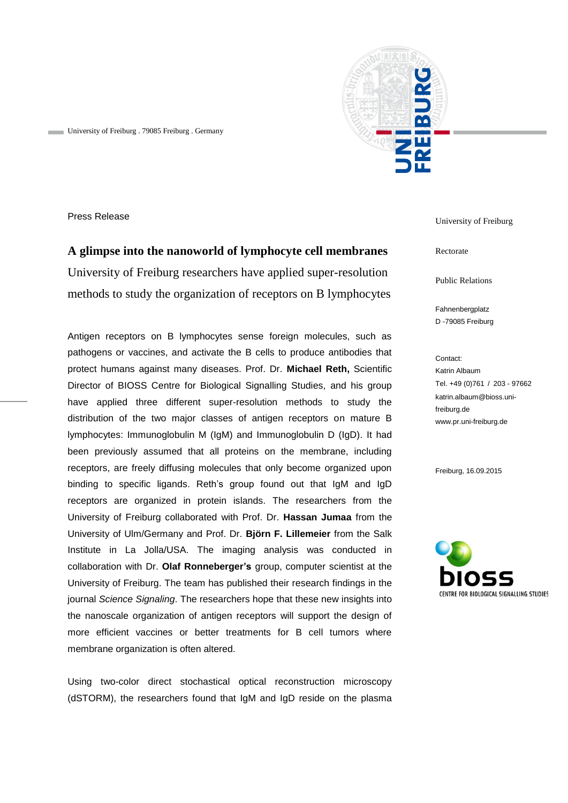

University of Freiburg . 79085 Freiburg . Germany

Press Release

**A glimpse into the nanoworld of lymphocyte cell membranes** University of Freiburg researchers have applied super-resolution methods to study the organization of receptors on B lymphocytes

Antigen receptors on B lymphocytes sense foreign molecules, such as pathogens or vaccines, and activate the B cells to produce antibodies that protect humans against many diseases. Prof. Dr. **Michael Reth,** Scientific Director of BIOSS Centre for Biological Signalling Studies, and his group have applied three different super-resolution methods to study the distribution of the two major classes of antigen receptors on mature B lymphocytes: Immunoglobulin M (IgM) and Immunoglobulin D (IgD). It had been previously assumed that all proteins on the membrane, including receptors, are freely diffusing molecules that only become organized upon binding to specific ligands. Reth's group found out that IgM and IgD receptors are organized in protein islands. The researchers from the University of Freiburg collaborated with Prof. Dr. **Hassan Jumaa** from the University of Ulm/Germany and Prof. Dr. **Björn F. Lillemeier** from the Salk Institute in La Jolla/USA. The imaging analysis was conducted in collaboration with Dr. **Olaf Ronneberger's** group, computer scientist at the University of Freiburg. The team has published their research findings in the journal *Science Signaling*. The researchers hope that these new insights into the nanoscale organization of antigen receptors will support the design of more efficient vaccines or better treatments for B cell tumors where membrane organization is often altered.

Using two-color direct stochastical optical reconstruction microscopy (dSTORM), the researchers found that IgM and IgD reside on the plasma

University of Freiburg

Rectorate

Public Relations

Fahnenbergplatz D -79085 Freiburg

Contact: Katrin Albaum Tel. +49 (0)761 / 203 - 97662 katrin.albaum@bioss.unifreiburg.de www.pr.uni-freiburg.de

Freiburg, 16.09.2015

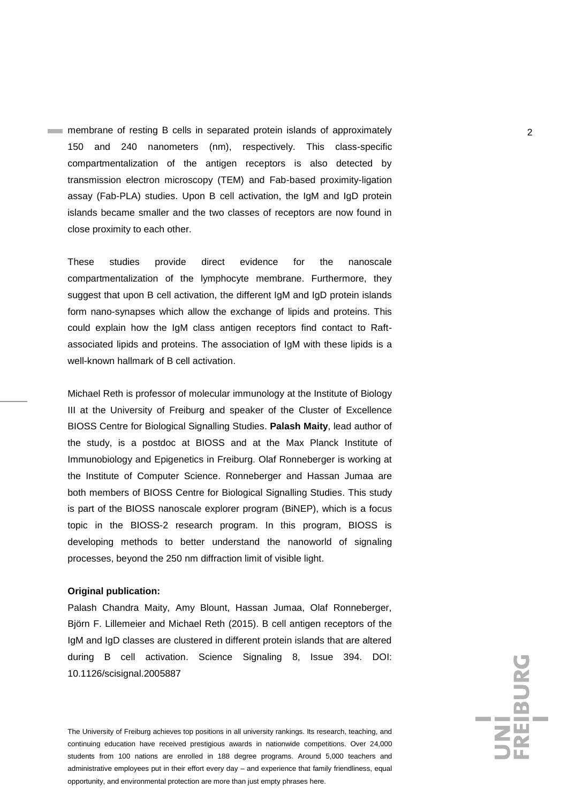membrane of resting B cells in separated protein islands of approximately 2 150 and 240 nanometers (nm), respectively. This class-specific compartmentalization of the antigen receptors is also detected by transmission electron microscopy (TEM) and Fab-based proximity-ligation assay (Fab-PLA) studies. Upon B cell activation, the IgM and IgD protein islands became smaller and the two classes of receptors are now found in close proximity to each other.

These studies provide direct evidence for the nanoscale compartmentalization of the lymphocyte membrane. Furthermore, they suggest that upon B cell activation, the different IgM and IgD protein islands form nano-synapses which allow the exchange of lipids and proteins. This could explain how the IgM class antigen receptors find contact to Raftassociated lipids and proteins. The association of IgM with these lipids is a well-known hallmark of B cell activation.

Michael Reth is professor of molecular immunology at the Institute of Biology III at the University of Freiburg and speaker of the Cluster of Excellence BIOSS Centre for Biological Signalling Studies. **Palash Maity**, lead author of the study, is a postdoc at BIOSS and at the Max Planck Institute of Immunobiology and Epigenetics in Freiburg. Olaf Ronneberger is working at the Institute of Computer Science. Ronneberger and Hassan Jumaa are both members of BIOSS Centre for Biological Signalling Studies. This study is part of the BIOSS nanoscale explorer program (BiNEP), which is a focus topic in the BIOSS-2 research program. In this program, BIOSS is developing methods to better understand the nanoworld of signaling processes, beyond the 250 nm diffraction limit of visible light.

## **Original publication:**

Palash Chandra Maity, Amy Blount, Hassan Jumaa, Olaf Ronneberger, Björn F. Lillemeier and Michael Reth (2015). B cell antigen receptors of the IgM and IgD classes are clustered in different protein islands that are altered during B cell activation. Science Signaling 8, Issue 394. DOI: [10.1126/scisignal.2005887](http://stke.sciencemag.org/content/8/394/ra93)

The University of Freiburg achieves top positions in all university rankings. Its research, teaching, and continuing education have received prestigious awards in nationwide competitions. Over 24,000 students from 100 nations are enrolled in 188 degree programs. Around 5,000 teachers and administrative employees put in their effort every day – and experience that family friendliness, equal opportunity, and environmental protection are more than just empty phrases here.